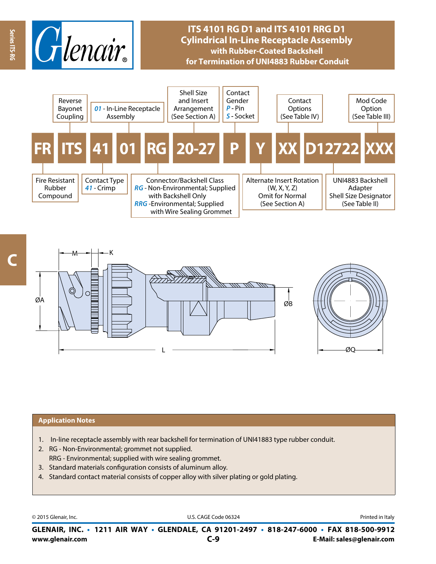

# **ITS 4101 RG D1 and ITS 4101 RRG D1 Cylindrical In-Line Receptacle Assembly with Rubber-Coated Backshell for Termination of UNI4883 Rubber Conduit**





#### **Application Notes**

- 1. In-line receptacle assembly with rear backshell for termination of UNI41883 type rubber conduit.
- 2. RG Non-Environmental; grommet not supplied. RRG - Environmental; supplied with wire sealing grommet.
- 3. Standard materials configuration consists of aluminum alloy.
- 4. Standard contact material consists of copper alloy with silver plating or gold plating.

© 2015 Glenair, Inc. **Discription Construction Construction Construction Construction Construction Construction Construction Construction Construction Construction Construction Construction Construction Construction Constr** 

**www.glenair.com E-Mail: sales@glenair.com GLENAIR, INC. • 1211 AIR WAY • GLENDALE, CA 91201-2497 • 818-247-6000 • FAX 818-500-9912 C-9**